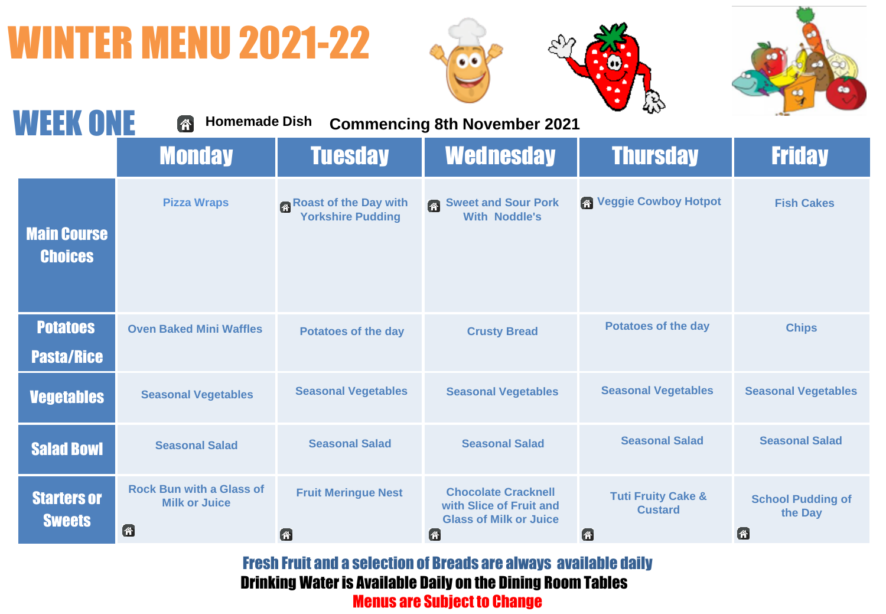## WINTER MENU 2021-22







| <b>WEEK ONE</b>                      | <b>Homemade Dish</b><br>个                                    |                                            | <b>Commencing 8th November 2021</b>                                                                  | $\sim$                                               |                                          |
|--------------------------------------|--------------------------------------------------------------|--------------------------------------------|------------------------------------------------------------------------------------------------------|------------------------------------------------------|------------------------------------------|
|                                      | <b>Monday</b>                                                | <b>Tuesday</b>                             | <b>Wednesday</b>                                                                                     | <b>Thursday</b>                                      | <b>Friday</b>                            |
| <b>Main Course</b><br><b>Choices</b> | <b>Pizza Wraps</b>                                           | Roast of the Day with<br>Yorkshire Pudding | <b>Sweet and Sour Pork</b><br>图<br><b>With Noddle's</b>                                              | <b>No Veggie Cowboy Hotpot</b>                       | <b>Fish Cakes</b>                        |
| <b>Potatoes</b><br><b>Pasta/Rice</b> | <b>Oven Baked Mini Waffles</b>                               | <b>Potatoes of the day</b>                 | <b>Crusty Bread</b>                                                                                  | <b>Potatoes of the day</b>                           | <b>Chips</b>                             |
| <b>Vegetables</b>                    | <b>Seasonal Vegetables</b>                                   | <b>Seasonal Vegetables</b>                 | <b>Seasonal Vegetables</b>                                                                           | <b>Seasonal Vegetables</b>                           | <b>Seasonal Vegetables</b>               |
| <b>Salad Bowl</b>                    | <b>Seasonal Salad</b>                                        | <b>Seasonal Salad</b>                      | <b>Seasonal Salad</b>                                                                                | <b>Seasonal Salad</b>                                | <b>Seasonal Salad</b>                    |
| <b>Starters or</b><br><b>Sweets</b>  | <b>Rock Bun with a Glass of</b><br><b>Milk or Juice</b><br>6 | <b>Fruit Meringue Nest</b><br>6            | <b>Chocolate Cracknell</b><br>with Slice of Fruit and<br><b>Glass of Milk or Juice</b><br>$\bigcirc$ | <b>Tuti Fruity Cake &amp;</b><br><b>Custard</b><br>6 | <b>School Pudding of</b><br>the Day<br>俗 |

Fresh Fruit and a selection of Breads are always available daily Drinking Water is Available Daily on the Dining Room Tables Menus are Subject to Change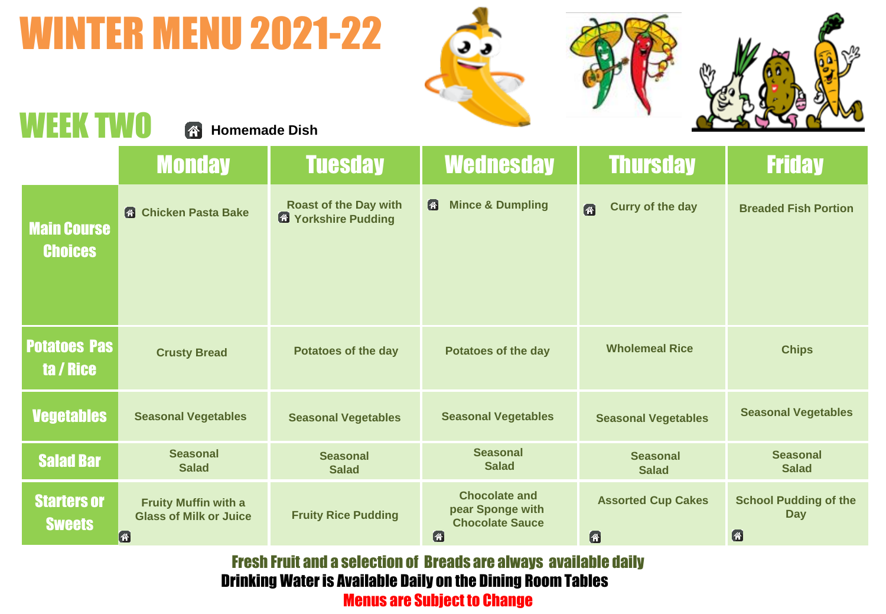### WINTER MENU 2021-22







#### $M\Gamma$ **Homemade Dish**

|                                      | <b>Monday</b>                                                                  | <b>Tuesday</b>                                              | <b>Wednesday</b>                                                        | <b>Thursday</b>                 | <b>Friday</b>                                   |
|--------------------------------------|--------------------------------------------------------------------------------|-------------------------------------------------------------|-------------------------------------------------------------------------|---------------------------------|-------------------------------------------------|
| <b>Main Course</b><br><b>Choices</b> | <b>6</b> Chicken Pasta Bake                                                    | <b>Roast of the Day with</b><br><b>13 Yorkshire Pudding</b> | <b>Mince &amp; Dumpling</b><br>舒                                        | <b>Curry of the day</b><br>图    | <b>Breaded Fish Portion</b>                     |
| <b>Potatoes Pas</b><br>ta / Rice     | <b>Crusty Bread</b>                                                            | <b>Potatoes of the day</b>                                  | <b>Potatoes of the day</b>                                              | <b>Wholemeal Rice</b>           | <b>Chips</b>                                    |
| <b>Vegetables</b>                    | <b>Seasonal Vegetables</b>                                                     | <b>Seasonal Vegetables</b>                                  | <b>Seasonal Vegetables</b>                                              | <b>Seasonal Vegetables</b>      | <b>Seasonal Vegetables</b>                      |
| <b>Salad Bar</b>                     | <b>Seasonal</b><br><b>Salad</b>                                                | <b>Seasonal</b><br><b>Salad</b>                             | <b>Seasonal</b><br><b>Salad</b>                                         | <b>Seasonal</b><br><b>Salad</b> | <b>Seasonal</b><br><b>Salad</b>                 |
| <b>Starters or</b><br><b>Sweets</b>  | <b>Fruity Muffin with a</b><br><b>Glass of Milk or Juice</b><br>$ \mathbf{A} $ | <b>Fruity Rice Pudding</b>                                  | <b>Chocolate and</b><br>pear Sponge with<br><b>Chocolate Sauce</b><br>公 | <b>Assorted Cup Cakes</b><br>图  | <b>School Pudding of the</b><br><b>Day</b><br>俗 |

Fresh Fruit and a selection of Breads are always available daily Drinking Water is Available Daily on the Dining Room Tables Menus are Subject to Change